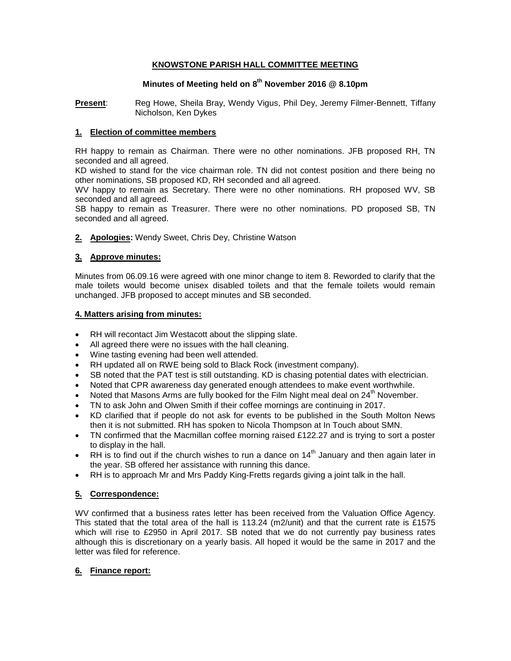## **KNOWSTONE PARISH HALL COMMITTEE MEETING**

# **Minutes of Meeting held on 8 th November 2016 @ 8.10pm**

**Present**: Reg Howe, Sheila Bray, Wendy Vigus, Phil Dey, Jeremy Filmer-Bennett, Tiffany Nicholson, Ken Dykes

### **1. Election of committee members**

RH happy to remain as Chairman. There were no other nominations. JFB proposed RH, TN seconded and all agreed.

KD wished to stand for the vice chairman role. TN did not contest position and there being no other nominations, SB proposed KD, RH seconded and all agreed.

WV happy to remain as Secretary. There were no other nominations. RH proposed WV, SB seconded and all agreed.

SB happy to remain as Treasurer. There were no other nominations. PD proposed SB, TN seconded and all agreed.

**2. Apologies:** Wendy Sweet, Chris Dey, Christine Watson

## **3. Approve minutes:**

Minutes from 06.09.16 were agreed with one minor change to item 8. Reworded to clarify that the male toilets would become unisex disabled toilets and that the female toilets would remain unchanged. JFB proposed to accept minutes and SB seconded.

### **4. Matters arising from minutes:**

- RH will recontact Jim Westacott about the slipping slate.
- All agreed there were no issues with the hall cleaning.
- Wine tasting evening had been well attended.
- RH updated all on RWE being sold to Black Rock (investment company).
- SB noted that the PAT test is still outstanding. KD is chasing potential dates with electrician.
- Noted that CPR awareness day generated enough attendees to make event worthwhile.
- Noted that Masons Arms are fully booked for the Film Night meal deal on 24<sup>th</sup> November.
- TN to ask John and Olwen Smith if their coffee mornings are continuing in 2017.
- KD clarified that if people do not ask for events to be published in the South Molton News then it is not submitted. RH has spoken to Nicola Thompson at In Touch about SMN.
- TN confirmed that the Macmillan coffee morning raised £122.27 and is trying to sort a poster to display in the hall.
- RH is to find out if the church wishes to run a dance on  $14<sup>th</sup>$  January and then again later in the year. SB offered her assistance with running this dance.
- RH is to approach Mr and Mrs Paddy King-Fretts regards giving a joint talk in the hall.

## **5. Correspondence:**

WV confirmed that a business rates letter has been received from the Valuation Office Agency. This stated that the total area of the hall is 113.24 (m2/unit) and that the current rate is £1575 which will rise to £2950 in April 2017. SB noted that we do not currently pay business rates although this is discretionary on a yearly basis. All hoped it would be the same in 2017 and the letter was filed for reference.

### **6. Finance report:**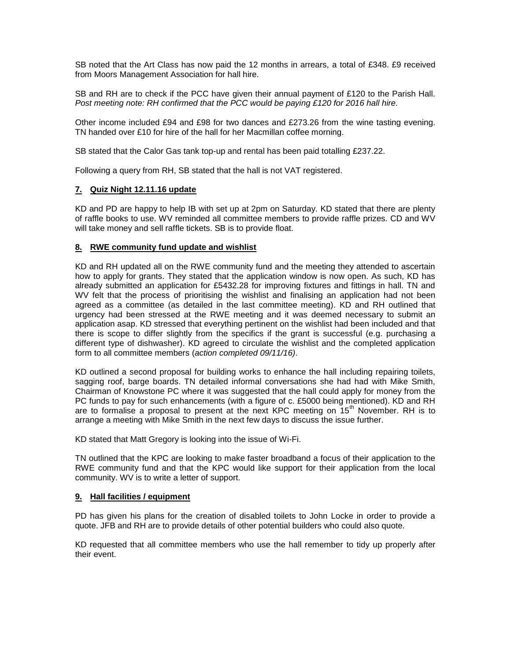SB noted that the Art Class has now paid the 12 months in arrears, a total of £348. £9 received from Moors Management Association for hall hire.

SB and RH are to check if the PCC have given their annual payment of £120 to the Parish Hall. *Post meeting note: RH confirmed that the PCC would be paying £120 for 2016 hall hire.* 

Other income included £94 and £98 for two dances and £273.26 from the wine tasting evening. TN handed over £10 for hire of the hall for her Macmillan coffee morning.

SB stated that the Calor Gas tank top-up and rental has been paid totalling £237.22.

Following a query from RH, SB stated that the hall is not VAT registered.

### **7. Quiz Night 12.11.16 update**

KD and PD are happy to help IB with set up at 2pm on Saturday. KD stated that there are plenty of raffle books to use. WV reminded all committee members to provide raffle prizes. CD and WV will take money and sell raffle tickets. SB is to provide float.

## **8. RWE community fund update and wishlist**

KD and RH updated all on the RWE community fund and the meeting they attended to ascertain how to apply for grants. They stated that the application window is now open. As such, KD has already submitted an application for £5432.28 for improving fixtures and fittings in hall. TN and WV felt that the process of prioritising the wishlist and finalising an application had not been agreed as a committee (as detailed in the last committee meeting). KD and RH outlined that urgency had been stressed at the RWE meeting and it was deemed necessary to submit an application asap. KD stressed that everything pertinent on the wishlist had been included and that there is scope to differ slightly from the specifics if the grant is successful (e.g. purchasing a different type of dishwasher). KD agreed to circulate the wishlist and the completed application form to all committee members (*action completed 09/11/16)*.

KD outlined a second proposal for building works to enhance the hall including repairing toilets, sagging roof, barge boards. TN detailed informal conversations she had had with Mike Smith, Chairman of Knowstone PC where it was suggested that the hall could apply for money from the PC funds to pay for such enhancements (with a figure of c. £5000 being mentioned). KD and RH are to formalise a proposal to present at the next KPC meeting on  $15<sup>th</sup>$  November. RH is to arrange a meeting with Mike Smith in the next few days to discuss the issue further.

KD stated that Matt Gregory is looking into the issue of Wi-Fi.

TN outlined that the KPC are looking to make faster broadband a focus of their application to the RWE community fund and that the KPC would like support for their application from the local community. WV is to write a letter of support.

#### **9. Hall facilities / equipment**

PD has given his plans for the creation of disabled toilets to John Locke in order to provide a quote. JFB and RH are to provide details of other potential builders who could also quote.

KD requested that all committee members who use the hall remember to tidy up properly after their event.